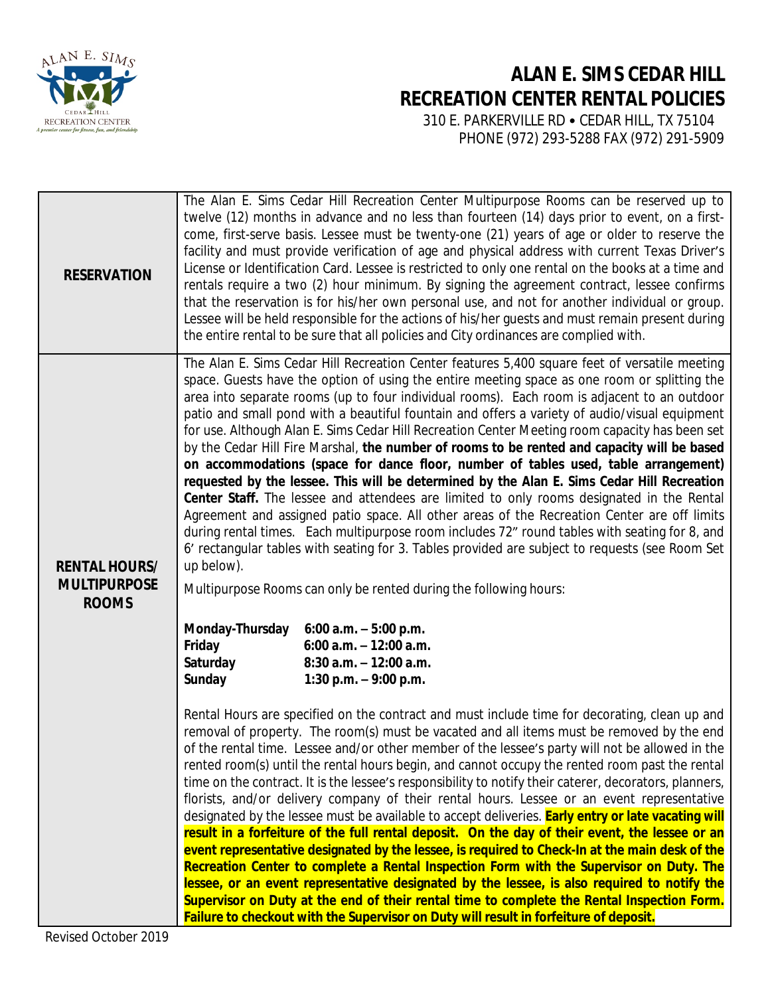

## **ALAN E. SIMS CEDAR HILL RECREATION CENTER RENTAL POLICIES**

 310 E. PARKERVILLE RD • CEDAR HILL, TX 75104 PHONE (972) 293-5288 FAX (972) 291-5909

| <b>RESERVATION</b>                                          |                                                                                                                                                                                                                                                                                                                                                                                                                                                                                                                                                                                                                                                                                                                                                                                                                                                                                                                                                                                                                                                                                                                                                                                                                                                                                                           | The Alan E. Sims Cedar Hill Recreation Center Multipurpose Rooms can be reserved up to<br>twelve (12) months in advance and no less than fourteen (14) days prior to event, on a first-<br>come, first-serve basis. Lessee must be twenty-one (21) years of age or older to reserve the<br>facility and must provide verification of age and physical address with current Texas Driver's<br>License or Identification Card. Lessee is restricted to only one rental on the books at a time and<br>rentals require a two (2) hour minimum. By signing the agreement contract, lessee confirms<br>that the reservation is for his/her own personal use, and not for another individual or group.<br>Lessee will be held responsible for the actions of his/her quests and must remain present during<br>the entire rental to be sure that all policies and City ordinances are complied with.                                                                                                                                                                                                                                                                                                                                                                                       |
|-------------------------------------------------------------|-----------------------------------------------------------------------------------------------------------------------------------------------------------------------------------------------------------------------------------------------------------------------------------------------------------------------------------------------------------------------------------------------------------------------------------------------------------------------------------------------------------------------------------------------------------------------------------------------------------------------------------------------------------------------------------------------------------------------------------------------------------------------------------------------------------------------------------------------------------------------------------------------------------------------------------------------------------------------------------------------------------------------------------------------------------------------------------------------------------------------------------------------------------------------------------------------------------------------------------------------------------------------------------------------------------|------------------------------------------------------------------------------------------------------------------------------------------------------------------------------------------------------------------------------------------------------------------------------------------------------------------------------------------------------------------------------------------------------------------------------------------------------------------------------------------------------------------------------------------------------------------------------------------------------------------------------------------------------------------------------------------------------------------------------------------------------------------------------------------------------------------------------------------------------------------------------------------------------------------------------------------------------------------------------------------------------------------------------------------------------------------------------------------------------------------------------------------------------------------------------------------------------------------------------------------------------------------------------------|
| <b>RENTAL HOURS/</b><br><b>MULTIPURPOSE</b><br><b>ROOMS</b> | up below).<br>Monday-Thursday                                                                                                                                                                                                                                                                                                                                                                                                                                                                                                                                                                                                                                                                                                                                                                                                                                                                                                                                                                                                                                                                                                                                                                                                                                                                             | The Alan E. Sims Cedar Hill Recreation Center features 5,400 square feet of versatile meeting<br>space. Guests have the option of using the entire meeting space as one room or splitting the<br>area into separate rooms (up to four individual rooms). Each room is adjacent to an outdoor<br>patio and small pond with a beautiful fountain and offers a variety of audio/visual equipment<br>for use. Although Alan E. Sims Cedar Hill Recreation Center Meeting room capacity has been set<br>by the Cedar Hill Fire Marshal, the number of rooms to be rented and capacity will be based<br>on accommodations (space for dance floor, number of tables used, table arrangement)<br>requested by the lessee. This will be determined by the Alan E. Sims Cedar Hill Recreation<br>Center Staff. The lessee and attendees are limited to only rooms designated in the Rental<br>Agreement and assigned patio space. All other areas of the Recreation Center are off limits<br>during rental times. Each multipurpose room includes 72" round tables with seating for 8, and<br>6' rectangular tables with seating for 3. Tables provided are subject to requests (see Room Set<br>Multipurpose Rooms can only be rented during the following hours:<br>6:00 a.m. $-5:00$ p.m. |
|                                                             | Friday<br>Saturday<br>Sunday                                                                                                                                                                                                                                                                                                                                                                                                                                                                                                                                                                                                                                                                                                                                                                                                                                                                                                                                                                                                                                                                                                                                                                                                                                                                              | 6:00 a.m. $-12:00$ a.m.<br>$8:30$ a.m. $-12:00$ a.m.<br>1:30 p.m. $-9:00$ p.m.                                                                                                                                                                                                                                                                                                                                                                                                                                                                                                                                                                                                                                                                                                                                                                                                                                                                                                                                                                                                                                                                                                                                                                                                     |
|                                                             | Rental Hours are specified on the contract and must include time for decorating, clean up and<br>removal of property. The room(s) must be vacated and all items must be removed by the end<br>of the rental time. Lessee and/or other member of the lessee's party will not be allowed in the<br>rented room(s) until the rental hours begin, and cannot occupy the rented room past the rental<br>time on the contract. It is the lessee's responsibility to notify their caterer, decorators, planners,<br>florists, and/or delivery company of their rental hours. Lessee or an event representative<br>designated by the lessee must be available to accept deliveries. <b>Early entry or late vacating will</b><br>result in a forfeiture of the full rental deposit. On the day of their event, the lessee or an<br>event representative designated by the lessee, is required to Check-In at the main desk of the<br>Recreation Center to complete a Rental Inspection Form with the Supervisor on Duty. The<br>lessee, or an event representative designated by the lessee, is also required to notify the<br>Supervisor on Duty at the end of their rental time to complete the Rental Inspection Form.<br>Failure to checkout with the Supervisor on Duty will result in forfeiture of deposit. |                                                                                                                                                                                                                                                                                                                                                                                                                                                                                                                                                                                                                                                                                                                                                                                                                                                                                                                                                                                                                                                                                                                                                                                                                                                                                    |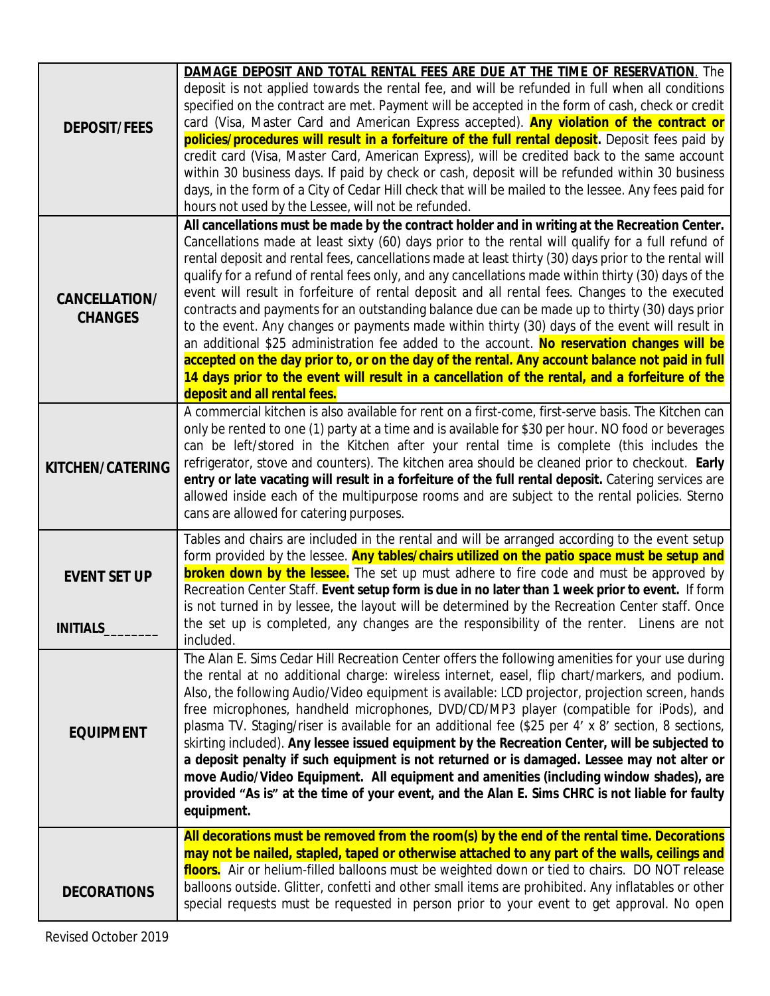|                      | <b>DAMAGE DEPOSIT AND TOTAL RENTAL FEES ARE DUE AT THE TIME OF RESERVATION.</b> The                                                                                                           |
|----------------------|-----------------------------------------------------------------------------------------------------------------------------------------------------------------------------------------------|
|                      | deposit is not applied towards the rental fee, and will be refunded in full when all conditions                                                                                               |
|                      | specified on the contract are met. Payment will be accepted in the form of cash, check or credit                                                                                              |
| <b>DEPOSIT/FEES</b>  | card (Visa, Master Card and American Express accepted). Any violation of the contract or                                                                                                      |
|                      | policies/procedures will result in a forfeiture of the full rental deposit. Deposit fees paid by                                                                                              |
|                      | credit card (Visa, Master Card, American Express), will be credited back to the same account                                                                                                  |
|                      | within 30 business days. If paid by check or cash, deposit will be refunded within 30 business                                                                                                |
|                      | days, in the form of a City of Cedar Hill check that will be mailed to the lessee. Any fees paid for                                                                                          |
|                      | hours not used by the Lessee, will not be refunded.                                                                                                                                           |
|                      | All cancellations must be made by the contract holder and in writing at the Recreation Center.                                                                                                |
|                      | Cancellations made at least sixty (60) days prior to the rental will qualify for a full refund of                                                                                             |
|                      | rental deposit and rental fees, cancellations made at least thirty (30) days prior to the rental will                                                                                         |
|                      | qualify for a refund of rental fees only, and any cancellations made within thirty (30) days of the                                                                                           |
| <b>CANCELLATION/</b> | event will result in forfeiture of rental deposit and all rental fees. Changes to the executed                                                                                                |
| <b>CHANGES</b>       | contracts and payments for an outstanding balance due can be made up to thirty (30) days prior                                                                                                |
|                      | to the event. Any changes or payments made within thirty (30) days of the event will result in                                                                                                |
|                      | an additional \$25 administration fee added to the account. No reservation changes will be<br>accepted on the day prior to, or on the day of the rental. Any account balance not paid in full |
|                      | 14 days prior to the event will result in a cancellation of the rental, and a forfeiture of the                                                                                               |
|                      | deposit and all rental fees.                                                                                                                                                                  |
|                      | A commercial kitchen is also available for rent on a first-come, first-serve basis. The Kitchen can                                                                                           |
|                      | only be rented to one (1) party at a time and is available for \$30 per hour. NO food or beverages                                                                                            |
|                      | can be left/stored in the Kitchen after your rental time is complete (this includes the                                                                                                       |
| KITCHEN/CATERING     | refrigerator, stove and counters). The kitchen area should be cleaned prior to checkout. Early                                                                                                |
|                      | entry or late vacating will result in a forfeiture of the full rental deposit. Catering services are                                                                                          |
|                      | allowed inside each of the multipurpose rooms and are subject to the rental policies. Sterno                                                                                                  |
|                      | cans are allowed for catering purposes.                                                                                                                                                       |
|                      | Tables and chairs are included in the rental and will be arranged according to the event setup                                                                                                |
|                      | form provided by the lessee. Any tables/chairs utilized on the patio space must be setup and                                                                                                  |
| <b>EVENT SET UP</b>  | <b>broken down by the lessee.</b> The set up must adhere to fire code and must be approved by                                                                                                 |
|                      | Recreation Center Staff. Event setup form is due in no later than 1 week prior to event. If form                                                                                              |
|                      | is not turned in by lessee, the layout will be determined by the Recreation Center staff. Once                                                                                                |
| <b>INITIALS</b>      | the set up is completed, any changes are the responsibility of the renter. Linens are not                                                                                                     |
|                      | included.                                                                                                                                                                                     |
|                      | The Alan E. Sims Cedar Hill Recreation Center offers the following amenities for your use during                                                                                              |
|                      | the rental at no additional charge: wireless internet, easel, flip chart/markers, and podium.                                                                                                 |
|                      | Also, the following Audio/Video equipment is available: LCD projector, projection screen, hands                                                                                               |
|                      | free microphones, handheld microphones, DVD/CD/MP3 player (compatible for iPods), and                                                                                                         |
| <b>EQUIPMENT</b>     | plasma TV. Staging/riser is available for an additional fee (\$25 per 4' x 8' section, 8 sections,                                                                                            |
|                      | skirting included). Any lessee issued equipment by the Recreation Center, will be subjected to                                                                                                |
|                      | a deposit penalty if such equipment is not returned or is damaged. Lessee may not alter or                                                                                                    |
|                      | move Audio/Video Equipment. All equipment and amenities (including window shades), are                                                                                                        |
|                      | provided "As is" at the time of your event, and the Alan E. Sims CHRC is not liable for faulty                                                                                                |
|                      | equipment.                                                                                                                                                                                    |
|                      | All decorations must be removed from the room(s) by the end of the rental time. Decorations                                                                                                   |
|                      | may not be nailed, stapled, taped or otherwise attached to any part of the walls, ceilings and                                                                                                |
|                      | floors. Air or helium-filled balloons must be weighted down or tied to chairs. DO NOT release                                                                                                 |
| <b>DECORATIONS</b>   | balloons outside. Glitter, confetti and other small items are prohibited. Any inflatables or other                                                                                            |
|                      | special requests must be requested in person prior to your event to get approval. No open                                                                                                     |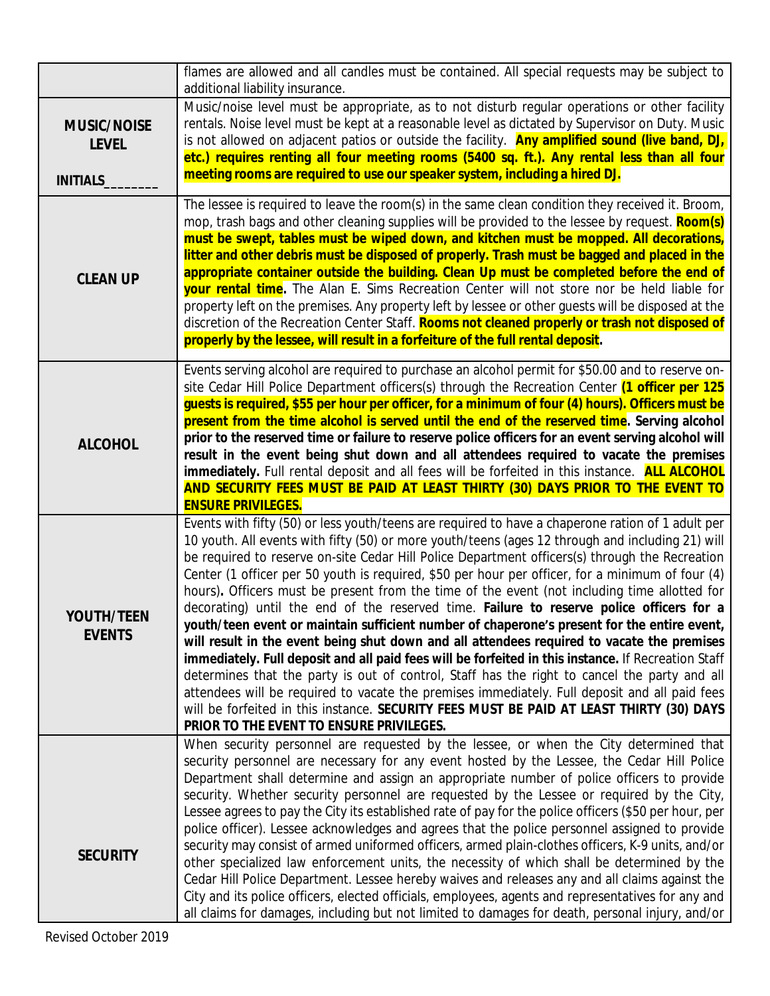|                                                       | flames are allowed and all candles must be contained. All special requests may be subject to<br>additional liability insurance.                                                                                                                                                                                                                                                                                                                                                                                                                                                                                                                                                                                                                                                                                                                                                                                                                                                                                                                                                                                                                                                                                                                      |
|-------------------------------------------------------|------------------------------------------------------------------------------------------------------------------------------------------------------------------------------------------------------------------------------------------------------------------------------------------------------------------------------------------------------------------------------------------------------------------------------------------------------------------------------------------------------------------------------------------------------------------------------------------------------------------------------------------------------------------------------------------------------------------------------------------------------------------------------------------------------------------------------------------------------------------------------------------------------------------------------------------------------------------------------------------------------------------------------------------------------------------------------------------------------------------------------------------------------------------------------------------------------------------------------------------------------|
| <b>MUSIC/NOISE</b><br><b>LEVEL</b><br><b>INITIALS</b> | Music/noise level must be appropriate, as to not disturb regular operations or other facility<br>rentals. Noise level must be kept at a reasonable level as dictated by Supervisor on Duty. Music<br>is not allowed on adjacent patios or outside the facility. <b>Any amplified sound (live band, DJ,</b><br>etc.) requires renting all four meeting rooms (5400 sq. ft.). Any rental less than all four<br>meeting rooms are required to use our speaker system, including a hired DJ.                                                                                                                                                                                                                                                                                                                                                                                                                                                                                                                                                                                                                                                                                                                                                             |
| <b>CLEAN UP</b>                                       | The lessee is required to leave the room(s) in the same clean condition they received it. Broom,<br>mop, trash bags and other cleaning supplies will be provided to the lessee by request. Room(s)<br>must be swept, tables must be wiped down, and kitchen must be mopped. All decorations,<br>litter and other debris must be disposed of properly. Trash must be bagged and placed in the<br>appropriate container outside the building. Clean Up must be completed before the end of<br><b>your rental time.</b> The Alan E. Sims Recreation Center will not store nor be held liable for<br>property left on the premises. Any property left by lessee or other guests will be disposed at the<br>discretion of the Recreation Center Staff. Rooms not cleaned properly or trash not disposed of<br>properly by the lessee, will result in a forfeiture of the full rental deposit.                                                                                                                                                                                                                                                                                                                                                             |
| <b>ALCOHOL</b>                                        | Events serving alcohol are required to purchase an alcohol permit for \$50.00 and to reserve on-<br>site Cedar Hill Police Department officers(s) through the Recreation Center (1 officer per 125<br>guests is required, \$55 per hour per officer, for a minimum of four (4) hours). Officers must be<br>present from the time alcohol is served until the end of the reserved time. Serving alcohol<br>prior to the reserved time or failure to reserve police officers for an event serving alcohol will<br>result in the event being shut down and all attendees required to vacate the premises<br><b>immediately.</b> Full rental deposit and all fees will be forfeited in this instance. <b>ALL ALCOHOL</b><br>AND SECURITY FEES MUST BE PAID AT LEAST THIRTY (30) DAYS PRIOR TO THE EVENT TO<br><b>ENSURE PRIVILEGES.</b>                                                                                                                                                                                                                                                                                                                                                                                                                  |
| <b>YOUTH/TEEN</b><br><b>EVENTS</b>                    | Events with fifty (50) or less youth/teens are required to have a chaperone ration of 1 adult per<br>10 youth. All events with fifty (50) or more youth/teens (ages 12 through and including 21) will<br>be required to reserve on-site Cedar Hill Police Department officers(s) through the Recreation<br>Center (1 officer per 50 youth is required, \$50 per hour per officer, for a minimum of four (4)<br>hours). Officers must be present from the time of the event (not including time allotted for<br>decorating) until the end of the reserved time. Failure to reserve police officers for a<br>youth/teen event or maintain sufficient number of chaperone's present for the entire event,<br>will result in the event being shut down and all attendees required to vacate the premises<br>immediately. Full deposit and all paid fees will be forfeited in this instance. If Recreation Staff<br>determines that the party is out of control, Staff has the right to cancel the party and all<br>attendees will be required to vacate the premises immediately. Full deposit and all paid fees<br>will be forfeited in this instance. SECURITY FEES MUST BE PAID AT LEAST THIRTY (30) DAYS<br>PRIOR TO THE EVENT TO ENSURE PRIVILEGES. |
| <b>SECURITY</b>                                       | When security personnel are requested by the lessee, or when the City determined that<br>security personnel are necessary for any event hosted by the Lessee, the Cedar Hill Police<br>Department shall determine and assign an appropriate number of police officers to provide<br>security. Whether security personnel are requested by the Lessee or required by the City,<br>Lessee agrees to pay the City its established rate of pay for the police officers (\$50 per hour, per<br>police officer). Lessee acknowledges and agrees that the police personnel assigned to provide<br>security may consist of armed uniformed officers, armed plain-clothes officers, K-9 units, and/or<br>other specialized law enforcement units, the necessity of which shall be determined by the<br>Cedar Hill Police Department. Lessee hereby waives and releases any and all claims against the<br>City and its police officers, elected officials, employees, agents and representatives for any and<br>all claims for damages, including but not limited to damages for death, personal injury, and/or                                                                                                                                                |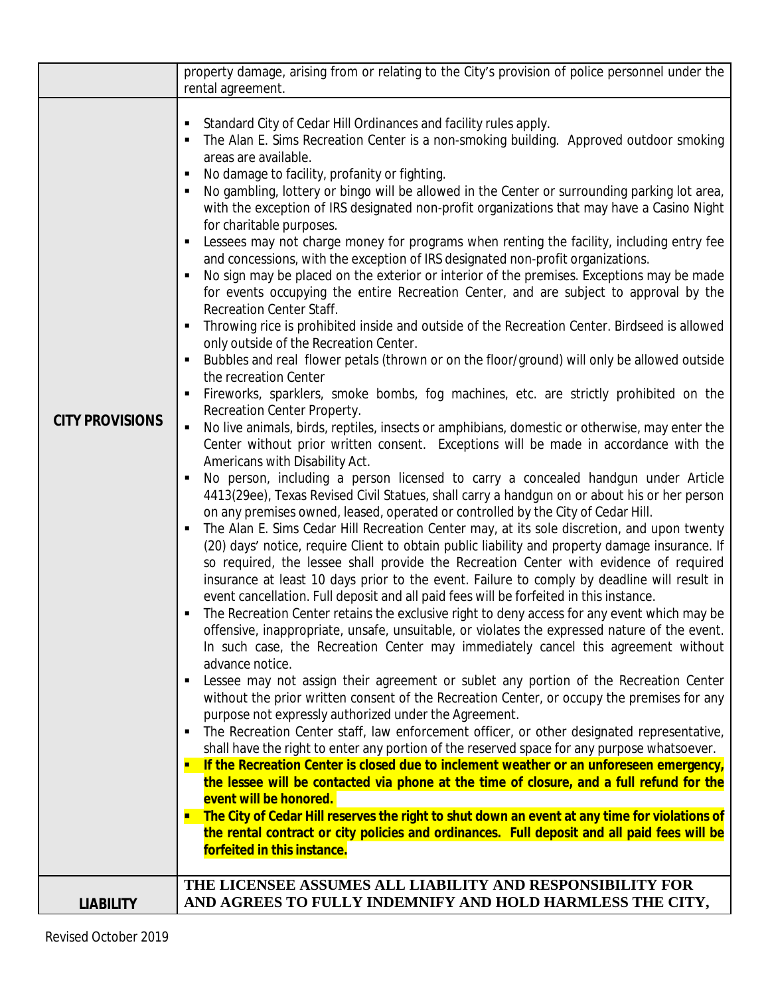|                        | property damage, arising from or relating to the City's provision of police personnel under the<br>rental agreement.                                                                                                                                                                                                                                                                                                                                                                                                                                                                                                                                                                                                                                                                                                                                                                                                                                                                                                                                                                                                                                                                                                                                                                                                                                                                                                                                                                                                                                                                                                                                                                                                                                                                                                                                                                                                                                                                                                                                                                                                                                                                                                                                                                                                                                                                                                                                                                                                                                                                                                                                                                                                                                                                                                                                                                                                                                                                                                                                                                                                                                                                                                                                                                                                                                                                                                                                                                                                |  |  |
|------------------------|---------------------------------------------------------------------------------------------------------------------------------------------------------------------------------------------------------------------------------------------------------------------------------------------------------------------------------------------------------------------------------------------------------------------------------------------------------------------------------------------------------------------------------------------------------------------------------------------------------------------------------------------------------------------------------------------------------------------------------------------------------------------------------------------------------------------------------------------------------------------------------------------------------------------------------------------------------------------------------------------------------------------------------------------------------------------------------------------------------------------------------------------------------------------------------------------------------------------------------------------------------------------------------------------------------------------------------------------------------------------------------------------------------------------------------------------------------------------------------------------------------------------------------------------------------------------------------------------------------------------------------------------------------------------------------------------------------------------------------------------------------------------------------------------------------------------------------------------------------------------------------------------------------------------------------------------------------------------------------------------------------------------------------------------------------------------------------------------------------------------------------------------------------------------------------------------------------------------------------------------------------------------------------------------------------------------------------------------------------------------------------------------------------------------------------------------------------------------------------------------------------------------------------------------------------------------------------------------------------------------------------------------------------------------------------------------------------------------------------------------------------------------------------------------------------------------------------------------------------------------------------------------------------------------------------------------------------------------------------------------------------------------------------------------------------------------------------------------------------------------------------------------------------------------------------------------------------------------------------------------------------------------------------------------------------------------------------------------------------------------------------------------------------------------------------------------------------------------------------------------------------------------|--|--|
| <b>CITY PROVISIONS</b> | Standard City of Cedar Hill Ordinances and facility rules apply.<br>The Alan E. Sims Recreation Center is a non-smoking building. Approved outdoor smoking<br>areas are available.<br>No damage to facility, profanity or fighting.<br>No gambling, lottery or bingo will be allowed in the Center or surrounding parking lot area,<br>with the exception of IRS designated non-profit organizations that may have a Casino Night<br>for charitable purposes.<br>Lessees may not charge money for programs when renting the facility, including entry fee<br>and concessions, with the exception of IRS designated non-profit organizations.<br>No sign may be placed on the exterior or interior of the premises. Exceptions may be made<br>for events occupying the entire Recreation Center, and are subject to approval by the<br>Recreation Center Staff.<br>Throwing rice is prohibited inside and outside of the Recreation Center. Birdseed is allowed<br>only outside of the Recreation Center.<br>Bubbles and real flower petals (thrown or on the floor/ground) will only be allowed outside<br>the recreation Center<br>Fireworks, sparklers, smoke bombs, fog machines, etc. are strictly prohibited on the<br>Recreation Center Property.<br>No live animals, birds, reptiles, insects or amphibians, domestic or otherwise, may enter the<br>Center without prior written consent. Exceptions will be made in accordance with the<br>Americans with Disability Act.<br>No person, including a person licensed to carry a concealed handgun under Article<br>4413(29ee), Texas Revised Civil Statues, shall carry a handgun on or about his or her person<br>on any premises owned, leased, operated or controlled by the City of Cedar Hill.<br>The Alan E. Sims Cedar Hill Recreation Center may, at its sole discretion, and upon twenty<br>(20) days' notice, require Client to obtain public liability and property damage insurance. If<br>so required, the lessee shall provide the Recreation Center with evidence of required<br>insurance at least 10 days prior to the event. Failure to comply by deadline will result in<br>event cancellation. Full deposit and all paid fees will be forfeited in this instance.<br>The Recreation Center retains the exclusive right to deny access for any event which may be<br>offensive, inappropriate, unsafe, unsuitable, or violates the expressed nature of the event.<br>In such case, the Recreation Center may immediately cancel this agreement without<br>advance notice.<br>Lessee may not assign their agreement or sublet any portion of the Recreation Center<br>without the prior written consent of the Recreation Center, or occupy the premises for any<br>purpose not expressly authorized under the Agreement.<br>The Recreation Center staff, law enforcement officer, or other designated representative,<br>shall have the right to enter any portion of the reserved space for any purpose whatsoever.<br>If the Recreation Center is closed due to inclement weather or an unforeseen emergency,<br>the lessee will be contacted via phone at the time of closure, and a full refund for the<br>event will be honored.<br><b>The City of Cedar Hill reserves the right to shut down an event at any time for violations of</b><br>the rental contract or city policies and ordinances. Full deposit and all paid fees will be<br>forfeited in this instance.<br>THE LICENSEE ASSUMES ALL LIABILITY AND RESPONSIBILITY FOR |  |  |
| <b>LIABILITY</b>       | AND AGREES TO FULLY INDEMNIFY AND HOLD HARMLESS THE CITY,                                                                                                                                                                                                                                                                                                                                                                                                                                                                                                                                                                                                                                                                                                                                                                                                                                                                                                                                                                                                                                                                                                                                                                                                                                                                                                                                                                                                                                                                                                                                                                                                                                                                                                                                                                                                                                                                                                                                                                                                                                                                                                                                                                                                                                                                                                                                                                                                                                                                                                                                                                                                                                                                                                                                                                                                                                                                                                                                                                                                                                                                                                                                                                                                                                                                                                                                                                                                                                                           |  |  |